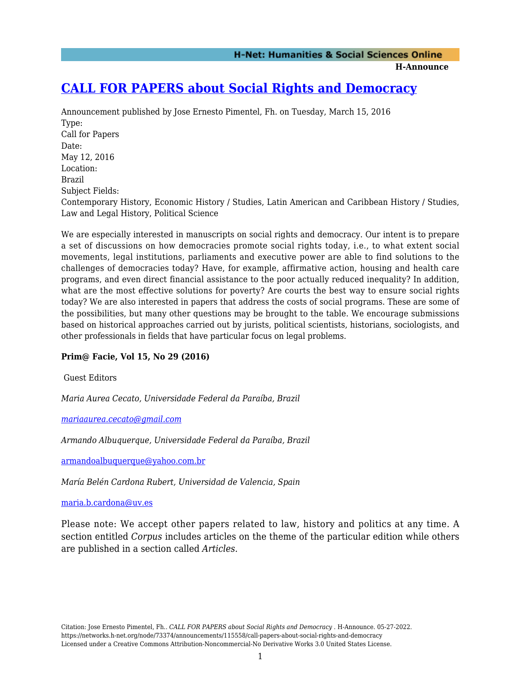**H-Announce** 

# **[CALL FOR PAPERS about Social Rights and Democracy](https://networks.h-net.org/node/73374/announcements/115558/call-papers-about-social-rights-and-democracy)**

Announcement published by Jose Ernesto Pimentel, Fh. on Tuesday, March 15, 2016 Type: Call for Papers Date: May 12, 2016 Location: Brazil Subject Fields: Contemporary History, Economic History / Studies, Latin American and Caribbean History / Studies, Law and Legal History, Political Science

We are especially interested in manuscripts on social rights and democracy. Our intent is to prepare a set of discussions on how democracies promote social rights today, i.e., to what extent social movements, legal institutions, parliaments and executive power are able to find solutions to the challenges of democracies today? Have, for example, affirmative action, housing and health care programs, and even direct financial assistance to the poor actually reduced inequality? In addition, what are the most effective solutions for poverty? Are courts the best way to ensure social rights today? We are also interested in papers that address the costs of social programs. These are some of the possibilities, but many other questions may be brought to the table. We encourage submissions based on historical approaches carried out by jurists, political scientists, historians, sociologists, and other professionals in fields that have particular focus on legal problems.

## **Prim@ Facie, Vol 15, No 29 (2016)**

Guest Editors

*Maria Aurea Cecato, Universidade Federal da Paraíba, Brazil*

*[mariaaurea.cecato@gmail.com](mailto:mariaaurea.cecato@gmail.com)*

*Armando Albuquerque, Universidade Federal da Paraíba, Brazil*

[armandoalbuquerque@yahoo.com.br](mailto:armandoalbuquerque@yahoo.com.br)

*María Belén Cardona Rubert, Universidad de Valencia, Spain*

### [maria.b.cardona@uv.es](mailto:maria.b.cardona@uv.es)

Please note: We accept other papers related to law, history and politics at any time. A section entitled *Corpus* includes articles on the theme of the particular edition while others are published in a section called *Articles*.